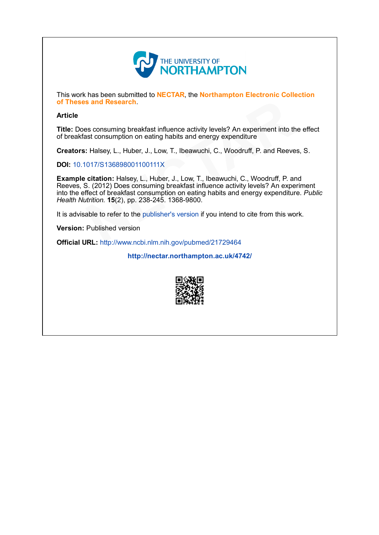

This work has been submitted to NECTAR, the Northampton Electronic Collection of Theses and Research.

# Article

Title: Does consuming breakfast influence activity levels? An experiment into the effect of breakfast consumption on eating habits and energy expenditure

Creators: Halsey, L., Huber, J., Low, T., Ibeawuchi, C., Woodruff, P. and Reeves, S.

DOI: 10.1017/S136898001100111X

Example citation: Halsey, L., Huber, J., Low, T., Ibeawuchi, C., Woodruff, P. and Reeves, S. (2012) Does consuming breakfast influence activity levels? An experiment into the effect of breakfast consumption on eating habits and energy expenditure. Public Health Nutrition. 15(2), pp. 238-245. 1368-9800. of Theses and Research.<br>
Article<br>
Title: Does consuming breakfast influence activity levels? An experiment into the<br>
of breakfast consumption on eating habits and energy expenditure<br>
Creators: Halsey, L., Huber, J., Low, T

It is advisable to refer to the publisher's version if you intend to cite from this work.

Version: Published version

<http://nectar.northampton.ac.uk/4742/>

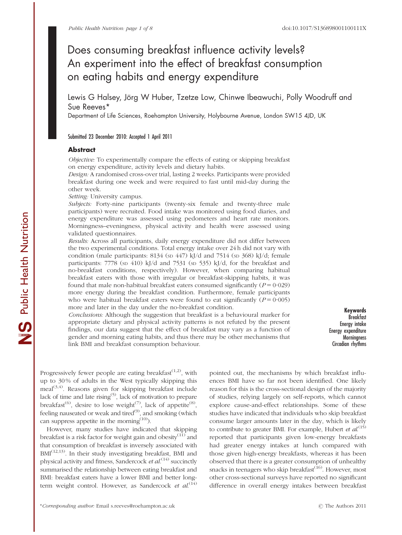# Does consuming breakfast influence activity levels? An experiment into the effect of breakfast consumption on eating habits and energy expenditure

Lewis G Halsey, Jörg W Huber, Tzetze Low, Chinwe Ibeawuchi, Polly Woodruff and Sue Reeves\*

Department of Life Sciences, Roehampton University, Holybourne Avenue, London SW15 4JD, UK

# Submitted 23 December 2010: Accepted 1 April 2011

#### **Abstract**

*Objective:* To experimentally compare the effects of eating or skipping breakfast on energy expenditure, activity levels and dietary habits.

*Design:* A randomised cross-over trial, lasting 2 weeks. Participants were provided breakfast during one week and were required to fast until mid-day during the other week.

*Setting:* University campus.

*Subjects:* Forty-nine participants (twenty-six female and twenty-three male participants) were recruited. Food intake was monitored using food diaries, and energy expenditure was assessed using pedometers and heart rate monitors. Morningness–eveningness, physical activity and health were assessed using validated questionnaires.

*Results:* Across all participants, daily energy expenditure did not differ between the two experimental conditions. Total energy intake over 24 h did not vary with condition (male participants: 8134 (sp 447) kJ/d and 7514 (sp 368) kJ/d; female participants: 7778 (sp 410) kJ/d and 7531 (sp 535) kJ/d, for the breakfast and no-breakfast conditions, respectively). However, when comparing habitual breakfast eaters with those with irregular or breakfast-skipping habits, it was found that male non-habitual breakfast eaters consumed significantly  $(P = 0.029)$ more energy during the breakfast condition. Furthermore, female participants who were habitual breakfast eaters were found to eat significantly  $(P = 0.005)$ more and later in the day under the no-breakfast condition.

*Conclusions:* Although the suggestion that breakfast is a behavioural marker for appropriate dietary and physical activity patterns is not refuted by the present findings, our data suggest that the effect of breakfast may vary as a function of gender and morning eating habits, and thus there may be other mechanisms that link BMI and breakfast consumption behaviour.

Keywords Breakfast Energy intake Energy expenditure **Morningness** Circadian rhythms

Progressively fewer people are eating breakfast $(1,2)$ , with up to 30 % of adults in the West typically skipping this  $\text{real}^{(3,4)}$ . Reasons given for skipping breakfast include lack of time and late rising<sup>(5)</sup>, lack of motivation to prepare breakfast<sup>(6)</sup>, desire to lose weight<sup>(7)</sup>, lack of appetite<sup>(8)</sup>, feeling nauseated or weak and tired<sup>(9)</sup>, and smoking (which can suppress appetite in the morning $(10)$ .

However, many studies have indicated that skipping breakfast is a risk factor for weight gain and obesity $(11)$  and that consumption of breakfast is inversely associated with BMI(12,13). In their study investigating breakfast, BMI and physical activity and fitness, Sandercock *et al.*<sup>(14)</sup> succinctly summarised the relationship between eating breakfast and BMI: breakfast eaters have a lower BMI and better longterm weight control. However, as Sandercock *et al.*<sup>(14)</sup>

pointed out, the mechanisms by which breakfast influences BMI have so far not been identified. One likely reason for this is the cross-sectional design of the majority of studies, relying largely on self-reports, which cannot explore cause-and-effect relationships. Some of these studies have indicated that individuals who skip breakfast consume larger amounts later in the day, which is likely to contribute to greater BMI. For example, Hubert *et al.*<sup>(15)</sup> reported that participants given low-energy breakfasts had greater energy intakes at lunch compared with those given high-energy breakfasts, whereas it has been observed that there is a greater consumption of unhealthy snacks in teenagers who skip breakfast $(16)$ . However, most other cross-sectional surveys have reported no significant difference in overall energy intakes between breakfast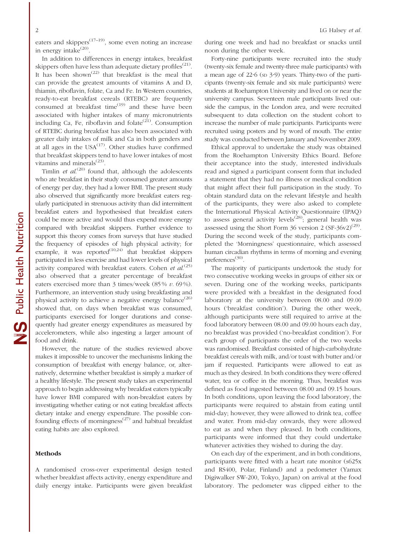eaters and skippers<sup> $(17-19)$ </sup>, some even noting an increase in energy intake<sup>(20)</sup>.

In addition to differences in energy intakes, breakfast skippers often have less than adequate dietary profiles $^{(21)}$ . It has been shown<sup> $(22)$ </sup> that breakfast is the meal that can provide the greatest amounts of vitamins A and D, thiamin, riboflavin, folate, Ca and Fe. In Western countries, ready-to-eat breakfast cereals (RTEBC) are frequently consumed at breakfast time $^{(19)}$  and these have been associated with higher intakes of many micronutrients including Ca, Fe, riboflavin and folate<sup> $(21)$ </sup>. Consumption of RTEBC during breakfast has also been associated with greater daily intakes of milk and Ca in both genders and at all ages in the  $USA^{(17)}$ . Other studies have confirmed that breakfast skippers tend to have lower intakes of most vitamins and minerals $^{(23)}$ .

Timlin *et al.*<sup>(20)</sup> found that, although the adolescents who ate breakfast in their study consumed greater amounts of energy per day, they had a lower BMI. The present study also observed that significantly more breakfast eaters regularly participated in strenuous activity than did intermittent breakfast eaters and hypothesised that breakfast eaters could be more active and would thus expend more energy compared with breakfast skippers. Further evidence to support this theory comes from surveys that have studied the frequency of episodes of high physical activity; for example, it was reported $(10,24)$  that breakfast skippers participated in less exercise and had lower levels of physical activity compared with breakfast eaters. Cohen *et al.*<sup>(25)</sup> also observed that a greater percentage of breakfast eaters exercised more than 3 times/week (85 % *v.* 69 %). Furthermore, an intervention study using breakfasting and physical activity to achieve a negative energy balance<sup>(26)</sup> showed that, on days when breakfast was consumed, participants exercised for longer durations and consequently had greater energy expenditures as measured by accelerometers, while also ingesting a larger amount of food and drink.

However, the nature of the studies reviewed above makes it impossible to uncover the mechanisms linking the consumption of breakfast with energy balance, or, alternatively, determine whether breakfast is simply a marker of a healthy lifestyle. The present study takes an experimental approach to begin addressing why breakfast eaters typically have lower BMI compared with non-breakfast eaters by investigating whether eating or not eating breakfast affects dietary intake and energy expenditure. The possible confounding effects of morningness<sup> $(27)$ </sup> and habitual breakfast eating habits are also explored.

## Methods

A randomised cross-over experimental design tested whether breakfast affects activity, energy expenditure and daily energy intake. Participants were given breakfast

during one week and had no breakfast or snacks until noon during the other week.

Forty-nine participants were recruited into the study (twenty-six female and twenty-three male participants) with a mean age of  $22.6$  (sp  $3.9$ ) years. Thirty-two of the participants (twenty-six female and six male participants) were students at Roehampton University and lived on or near the university campus. Seventeen male participants lived outside the campus, in the London area, and were recruited subsequent to data collection on the student cohort to increase the number of male participants. Participants were recruited using posters and by word of mouth. The entire study was conducted between January and November 2009.

Ethical approval to undertake the study was obtained from the Roehampton University Ethics Board. Before their acceptance into the study, interested individuals read and signed a participant consent form that included a statement that they had no illness or medical condition that might affect their full participation in the study. To obtain standard data on the relevant lifestyle and health of the participants, they were also asked to complete the International Physical Activity Questionnaire (IPAQ) to assess general activity levels<sup> $(28)$ </sup>; general health was assessed using the Short Form 36 version 2  $(SF-36v2)^{(29)}$ . During the second week of the study, participants completed the 'Morningness' questionnaire, which assessed human circadian rhythms in terms of morning and evening preferences<sup>(30)</sup>.

The majority of participants undertook the study for two consecutive working weeks in groups of either six or seven. During one of the working weeks, participants were provided with a breakfast in the designated food laboratory at the university between 08.00 and 09.00 hours ('breakfast condition'). During the other week, although participants were still required to arrive at the food laboratory between 08.00 and 09.00 hours each day, no breakfast was provided ('no-breakfast condition'). For each group of participants the order of the two weeks was randomised. Breakfast consisted of high-carbohydrate breakfast cereals with milk, and/or toast with butter and/or jam if requested. Participants were allowed to eat as much as they desired. In both conditions they were offered water, tea or coffee in the morning. Thus, breakfast was defined as food ingested between 08.00 and 09.15 hours. In both conditions, upon leaving the food laboratory, the participants were required to abstain from eating until mid-day; however, they were allowed to drink tea, coffee and water. From mid-day onwards, they were allowed to eat as and when they pleased. In both conditions, participants were informed that they could undertake whatever activities they wished to during the day.

On each day of the experiment, and in both conditions, participants were fitted with a heart rate monitor (s625x and RS400, Polar, Finland) and a pedometer (Yamax Digiwalker SW-200, Tokyo, Japan) on arrival at the food laboratory. The pedometer was clipped either to the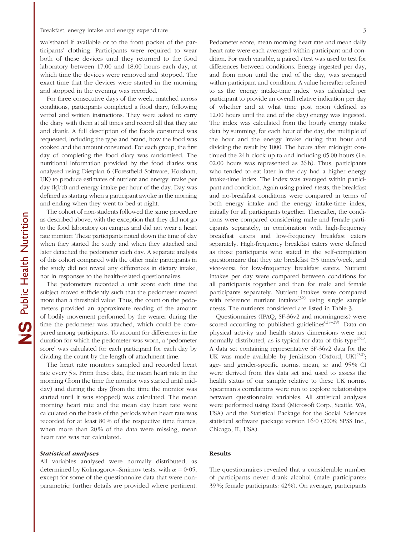#### Breakfast, energy intake and energy expenditure 3

waistband if available or to the front pocket of the participants' clothing. Participants were required to wear both of these devices until they returned to the food laboratory between 17.00 and 18.00 hours each day, at which time the devices were removed and stopped. The exact time that the devices were started in the morning and stopped in the evening was recorded.

For three consecutive days of the week, matched across conditions, participants completed a food diary, following verbal and written instructions. They were asked to carry the diary with them at all times and record all that they ate and drank. A full description of the foods consumed was requested, including the type and brand, how the food was cooked and the amount consumed. For each group, the first day of completing the food diary was randomised. The nutritional information provided by the food diaries was analysed using Dietplan 6 (Forestfield Software, Horsham, UK) to produce estimates of nutrient and energy intake per day (kJ/d) and energy intake per hour of the day. Day was defined as starting when a participant awoke in the morning and ending when they went to bed at night.

The cohort of non-students followed the same procedure as described above, with the exception that they did not go to the food laboratory on campus and did not wear a heart rate monitor. These participants noted down the time of day when they started the study and when they attached and later detached the pedometer each day. A separate analysis of this cohort compared with the other male participants in the study did not reveal any differences in dietary intake, nor in responses to the health-related questionnaires.

The pedometers recorded a unit score each time the subject moved sufficiently such that the pedometer moved more than a threshold value. Thus, the count on the pedometers provided an approximate reading of the amount of bodily movement performed by the wearer during the time the pedometer was attached, which could be compared among participants. To account for differences in the duration for which the pedometer was worn, a 'pedometer score' was calculated for each participant for each day by dividing the count by the length of attachment time.

The heart rate monitors sampled and recorded heart rate every 5 s. From these data, the mean heart rate in the morning (from the time the monitor was started until midday) and during the day (from the time the monitor was started until it was stopped) was calculated. The mean morning heart rate and the mean day heart rate were calculated on the basis of the periods when heart rate was recorded for at least 80 % of the respective time frames; when more than 20% of the data were missing, mean heart rate was not calculated.

#### Statistical analyses

All variables analysed were normally distributed, as determined by Kolmogorov–Smirnov tests, with  $\alpha = 0.05$ , except for some of the questionnaire data that were nonparametric; further details are provided where pertinent. Pedometer score, mean morning heart rate and mean daily heart rate were each averaged within participant and condition. For each variable, a paired *t* test was used to test for differences between conditions. Energy ingested per day, and from noon until the end of the day, was averaged within participant and condition. A value hereafter referred to as the 'energy intake-time index' was calculated per participant to provide an overall relative indication per day of whether and at what time post noon (defined as 12.00 hours until the end of the day) energy was ingested. The index was calculated from the hourly energy intake data by summing, for each hour of the day, the multiple of the hour and the energy intake during that hour and dividing the result by 1000. The hours after midnight continued the 24 h clock up to and including 05.00 hours (i.e. 02.00 hours was represented as 26 h). Thus, participants who tended to eat later in the day had a higher energy intake-time index. The index was averaged within participant and condition. Again using paired *t* tests, the breakfast and no-breakfast conditions were compared in terms of both energy intake and the energy intake-time index, initially for all participants together. Thereafter, the conditions were compared considering male and female participants separately, in combination with high-frequency breakfast eaters and low-frequency breakfast eaters separately. High-frequency breakfast eaters were defined as those participants who stated in the self-completion questionnaire that they ate breakfast  $\geq$ 5 times/week, and vice-versa for low-frequency breakfast eaters. Nutrient intakes per day were compared between conditions for all participants together and then for male and female participants separately. Nutrient intakes were compared with reference nutrient intakes<sup> $(32)$ </sup> using single sample *t* tests. The nutrients considered are listed in Table 3.

Questionnaires (IPAQ, SF-36v2 and morningness) were scored according to published guidelines<sup>(27–29)</sup>. Data on physical activity and health status dimensions were not normally distributed, as is typical for data of this type<sup>(31)</sup>. A data set containing representative SF-36v2 data for the UK was made available by Jenkinson (Oxford, UK)<sup>(32)</sup>; age- and gender-specific norms, mean, sp and 95% CI were derived from this data set and used to assess the health status of our sample relative to these UK norms. Spearman's correlations were run to explore relationships between questionnaire variables. All statistical analyses were performed using Excel (Microsoft Corp., Seattle, WA, USA) and the Statistical Package for the Social Sciences statistical software package version 16?0 (2008; SPSS Inc., Chicago, IL, USA).

### Results

The questionnaires revealed that a considerable number of participants never drank alcohol (male participants: 39 %; female participants: 42 %). On average, participants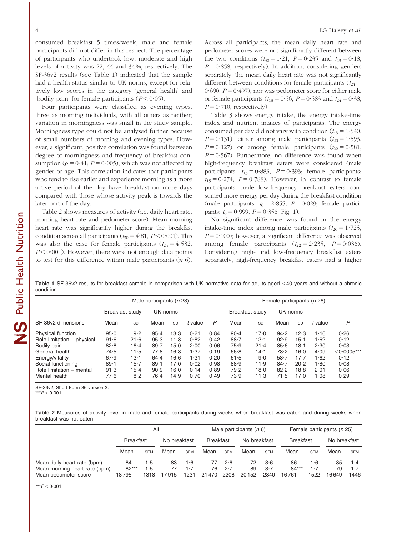consumed breakfast 5 times/week; male and female participants did not differ in this respect. The percentage of participants who undertook low, moderate and high levels of activity was 22, 44 and 34 %, respectively. The SF-36v2 results (see Table 1) indicated that the sample had a health status similar to UK norms, except for relatively low scores in the category 'general health' and 'bodily pain' for female participants  $(P < 0.05)$ .

Four participants were classified as evening types, three as morning individuals, with all others as neither; variation in morningness was small in the study sample. Morningness type could not be analysed further because of small numbers of morning and evening types. However, a significant, positive correlation was found between degree of morningness and frequency of breakfast consumption ( $\rho = 0.41$ ;  $P = 0.005$ ), which was not affected by gender or age. This correlation indicates that participants who tend to rise earlier and experience morning as a more active period of the day have breakfast on more days compared with those whose activity peak is towards the later part of the day.

Table 2 shows measures of activity (i.e. daily heart rate, morning heart rate and pedometer score). Mean morning heart rate was significantly higher during the breakfast condition across all participants ( $t_{30} = 4.81$ ,  $P < 0.001$ ). This was also the case for female participants  $(t_{24} = 4.532,$  $P \leq 0.001$ ). However, there were not enough data points to test for this difference within male participants (*n* 6). Across all participants, the mean daily heart rate and pedometer scores were not significantly different between the two conditions  $(t_{30} = 1.21, P = 0.235 \text{ and } t_{43} = 0.18,$  $P = 0.858$ , respectively). In addition, considering genders separately, the mean daily heart rate was not significantly different between conditions for female participants ( $t_{24}$  =  $0.690$ ,  $P = 0.497$ ), nor was pedometer score for either male or female participants ( $t_{18} = 0.56$ ,  $P = 0.583$  and  $t_{24} = 0.38$ ,  $P = 0.710$ , respectively).

Table 3 shows energy intake, the energy intake-time index and nutrient intakes of participants. The energy consumed per day did not vary with condition ( $t_{43} = 1.540$ ,  $P = 0.131$ ), either among male participants ( $t_{20} = 1.593$ ,  $P = 0.127$ ) or among female participants ( $t_{22} = 0.581$ ,  $P = 0.567$ ). Furthermore, no difference was found when high-frequency breakfast eaters were considered (male participants:  $t_{13} = 0.883$ ,  $P = 0.393$ ; female participants:  $t_{15} = 0.274$ ,  $P = 0.788$ ). However, in contrast to female participants, male low-frequency breakfast eaters consumed more energy per day during the breakfast condition (male participants:  $t_6 = 2.855$ ,  $P = 0.029$ ; female participants:  $t_6 = 0.999$ ,  $P = 0.356$ ; Fig. 1).

No significant difference was found in the energy intake-time index among male participants  $(t_{20} = 1.725)$ ,  $P = 0.100$ ); however, a significant difference was observed among female participants  $(t_{22} = 2.235, P = 0.036)$ . Considering high- and low-frequency breakfast eaters separately, high-frequency breakfast eaters had a higher

Table 1 SF-36v2 results for breakfast sample in comparison with UK normative data for adults aged <40 years and without a chronic condition

|                            | Male participants (n 23) |          |          |           |         |      | Female participants (n 26) |           |          |           |         |               |
|----------------------------|--------------------------|----------|----------|-----------|---------|------|----------------------------|-----------|----------|-----------|---------|---------------|
| SF-36y2 dimensions         | Breakfast study          |          | UK norms |           |         |      | Breakfast study            |           | UK norms |           |         |               |
|                            | Mean                     | SD       | Mean     | <b>SD</b> | t value | P    | Mean                       | <b>SD</b> | Mean     | <b>SD</b> | t value | P             |
| <b>Physical function</b>   | 95.0                     | 9.2      | $95 - 4$ | 13.3      | 0.21    | 0.84 | $90 - 4$                   | 17.0      | 94.2     | 12.3      | 1.16    | 0.26          |
| Role limitation - physical | 91.6                     | 21.6     | 95.3     | 11.8      | 0.82    | 0.42 | 88.7                       | $13-1$    | 92.9     | 15-1      | 1.62    | 0.12          |
| Bodily pain                | 82.8                     | $16 - 4$ | 89.7     | $15-0$    | 2.00    | 0.06 | 75.9                       | $21 - 4$  | 85.6     | 18-1      | 2.30    | 0.03          |
| General health             | 74.5                     | 11.5     | 77.8     | 16.3      | 1.37    | 0.19 | 66.8                       | $14 - 1$  | 78.2     | 16.0      | 4.09    | $<$ 0.0005*** |
| Energy/vitality            | 67.9                     | $13-1$   | $64 - 4$ | 16.6      | 1.31    | 0.20 | 61.5                       | 9.0       | $58 - 7$ | $17-7$    | 1.62    | 0.12          |
| Social functioning         | $89 - 1$                 | $15 - 7$ | $89 - 1$ | 17.0      | 0.02    | 0.98 | 88.9                       | 11.9      | $84 - 7$ | 20.2      | 1.80    | 0.08          |
| Role limitation - mental   | 91.3                     | $15 - 4$ | 90.9     | 16.0      | 0.14    | 0.89 | 79.2                       | 18.0      | 82.2     | 18.8      | 2.01    | 0.06          |
| Mental health              | 77.6                     | 8.2      | 76.4     | 14.9      | 0.70    | 0.49 | 73.9                       | 11.3      | 71.5     | 17.0      | 1.08    | 0.29          |

SF-36v2, Short Form 36 version 2.

 $*P < 0.001$ .

Table 2 Measures of activity level in male and female participants during weeks when breakfast was eaten and during weeks when breakfast was not eaten

|                                                                                      | All                    |                    |              |                    |                  | Male participants $(n 6)$ |                   |                    |                        | Female participants (n 25) |                   |                          |  |
|--------------------------------------------------------------------------------------|------------------------|--------------------|--------------|--------------------|------------------|---------------------------|-------------------|--------------------|------------------------|----------------------------|-------------------|--------------------------|--|
|                                                                                      | <b>Breakfast</b>       |                    | No breakfast |                    | <b>Breakfast</b> |                           | No breakfast      |                    | <b>Breakfast</b>       |                            | No breakfast      |                          |  |
|                                                                                      | Mean                   | <b>SEM</b>         | Mean         | <b>SEM</b>         | Mean             | <b>SEM</b>                | Mean              | <b>SEM</b>         | Mean                   | <b>SEM</b>                 | Mean              | <b>SEM</b>               |  |
| Mean daily heart rate (bpm)<br>Mean morning heart rate (bpm)<br>Mean pedometer score | 84<br>$82***$<br>18795 | 1.5<br>1.5<br>1318 | 83<br>17915  | 1.6<br>1.7<br>1231 | 76<br>21470      | 2.6<br>2.7<br>2208        | 72<br>89<br>20152 | 3·6<br>3.7<br>2340 | 86<br>$84***$<br>16761 | 1.6<br>1·7<br>1522         | 85<br>79<br>16649 | $1-4$<br>$1 - 7$<br>1446 |  |

 $***P < 0.001$ .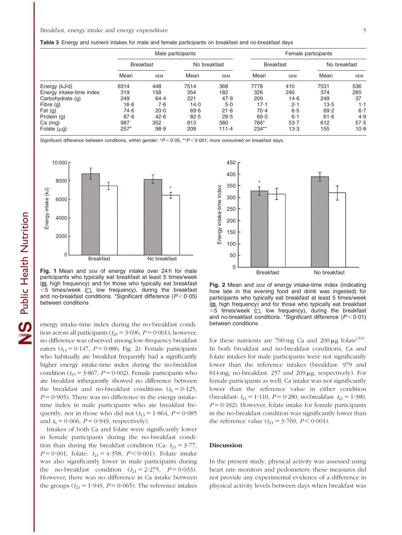Table 3 Energy and nutrient intakes for male and female participants on breakfast and no-breakfast days

|                          |                  |            | Male participants |            |                  | Female participants |              |            |  |  |  |
|--------------------------|------------------|------------|-------------------|------------|------------------|---------------------|--------------|------------|--|--|--|
|                          | <b>Breakfast</b> |            | No breakfast      |            | <b>Breakfast</b> |                     | No breakfast |            |  |  |  |
|                          | Mean             | <b>SEM</b> | Mean              | <b>SEM</b> | Mean             | <b>SEM</b>          | Mean         | <b>SEM</b> |  |  |  |
| Energy (kJ/d)            | 8314             | 448        | 7514              | 368        | 7778             | 410                 | 7531         | 536        |  |  |  |
| Energy intake-time index | 319              | 158        | 354               | 182        | 326              | 240                 | 374          | 285        |  |  |  |
| Carbohydrate (g)         | 249              | $64 - 4$   | 221               | 47.9       | 209              | 14.6                | 249          | 37         |  |  |  |
| Fibre (g)                | $16 - 6$         | 7·6        | 14.0              | 5.0        | $17 - 1$         | 2.1                 | 13.5         | $1 \cdot$  |  |  |  |
| Fat $(g)$                | 74.6             | 20.0       | 69.6              | 21.6       | $70-4$           | 6.5                 | 69.2         | $6-7$      |  |  |  |
| Protein (g)              | 87.6             | 42.6       | 82.5              | 29.5       | 69.0             | 6·1                 | 61.6         | 4.9        |  |  |  |
| $Ca$ (mg)                | 987              | 352        | 813               | 380        | 766*             | 53.7                | 612          | 57.5       |  |  |  |
| Folate $(\mu g)$         | $257*$           | 98.9       | 209               | $111 - 4$  | 234**            | 13.3                | 155          | $10-8$     |  |  |  |

Significant difference between conditions, within gender: \* $P < 0.05$ , \*\* $P < 0.001$ ; more consumed on breakfast days.



Fig. 1 Mean and SEM of energy intake over 24h for male participants who typically eat breakfast at least 5 times/week  $(\blacksquare, high frequency)$  and for those who typically eat breakfast  $<$ 5 times/week ( $\square$ , low frequency), during the breakfast and no-breakfast conditions. \*Significant difference  $(P < 0.05)$ between conditions

energy intake-time index during the no-breakfast condition across all participants ( $t_{29} = 3.696$ ,  $P = 0.001$ ); however, no difference was observed among low-frequency breakfast eaters  $(t_{13}=0.147, P=0.886;$  Fig. 2). Female participants who habitually ate breakfast frequently had a significantly higher energy intake-time index during the no-breakfast condition ( $t_{15}$  = 3.867, *P* = 0.002). Female participants who ate breakfast infrequently showed no difference between the breakfast and no-breakfast conditions ( $t_6 = 0.125$ ,  $P = 0.905$ ). There was no difference in the energy intaketime index in male participants who ate breakfast frequently, nor in those who did not  $(t_{13} = 1.864, P = 0.085)$ and  $t_6 = 0.066$ ,  $P = 0.949$ , respectively).

Intakes of both Ca and folate were significantly lower in female participants during the no-breakfast condition than during the breakfast condition (Ca:  $t_{21} = 3.77$ ,  $P = 0.001$ ; folate:  $t_{21} = 4.358$ ,  $P < 0.001$ ). Folate intake was also significantly lower in male participants during the no-breakfast condition  $(t_{21} = 2.275, P = 0.033)$ . However, there was no difference in Ca intake between the groups ( $t_{21}$  = 1.949, *P* = 0.065). The reference intakes



Fig. 2 Mean and SEM of energy intake-time index (indicating how late in the evening food and drink was ingested) for participants who typically eat breakfast at least 5 times/week ( $\Box$ , high frequency) and for those who typically eat breakfast  $<$ 5 times/week ( $\square$ , low frequency), during the breakfast and no-breakfast conditions. \*Significant difference  $(P < 0.01)$ between conditions

for these nutrients are 700 mg Ca and  $200 \mu g$  folate<sup>(33)</sup>. In both breakfast and no-breakfast conditions, Ca and folate intakes for male participants were not significantly lower than the reference intakes (breakfast: 979 and 814 mg; no-breakfast:  $257$  and  $209 \mu$ g, respectively). For female participants as well, Ca intake was not significantly lower than the reference value in either condition (breakfast:  $t_{21} = 1.110$ ,  $P = 0.280$ ; no-breakfast:  $t_{21} = 1.380$ ,  $P = 0.182$ ). However, folate intake for female participants in the no-breakfast condition was significantly lower than the reference value ( $t_{21} = 3.769$ ,  $P < 0.001$ ).

#### Discussion

In the present study, physical activity was assessed using heart rate monitors and pedometers; these measures did not provide any experimental evidence of a difference in physical activity levels between days when breakfast was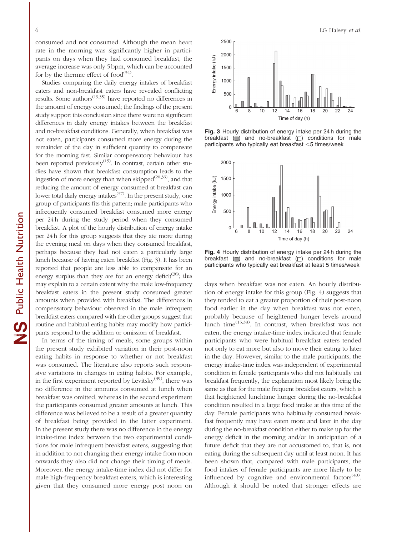consumed and not consumed. Although the mean heart rate in the morning was significantly higher in participants on days when they had consumed breakfast, the average increase was only 5 bpm, which can be accounted for by the thermic effect of food $^{(34)}$ .

Studies comparing the daily energy intakes of breakfast eaters and non-breakfast eaters have revealed conflicting results. Some authors<sup>(19,35)</sup> have reported no differences in the amount of energy consumed; the findings of the present study support this conclusion since there were no significant differences in daily energy intakes between the breakfast and no-breakfast conditions. Generally, when breakfast was not eaten, participants consumed more energy during the remainder of the day in sufficient quantity to compensate for the morning fast. Similar compensatory behaviour has been reported previously $^{(15)}$ . In contrast, certain other studies have shown that breakfast consumption leads to the ingestion of more energy than when skipped $(20,36)$ , and that reducing the amount of energy consumed at breakfast can lower total daily energy intakes $(37)$ . In the present study, one group of participants fits this pattern; male participants who infrequently consumed breakfast consumed more energy per 24 h during the study period when they consumed breakfast. A plot of the hourly distribution of energy intake per 24 h for this group suggests that they ate more during the evening meal on days when they consumed breakfast, perhaps because they had not eaten a particularly large lunch because of having eaten breakfast (Fig. 3). It has been reported that people are less able to compensate for an energy surplus than they are for an energy deficit<sup>(38)</sup>; this may explain to a certain extent why the male low-frequency breakfast eaters in the present study consumed greater amounts when provided with breakfast. The differences in compensatory behaviour observed in the male infrequent breakfast eaters compared with the other groups suggest that routine and habitual eating habits may modify how participants respond to the addition or omission of breakfast.

In terms of the timing of meals, some groups within the present study exhibited variation in their post-noon eating habits in response to whether or not breakfast was consumed. The literature also reports such responsive variations in changes in eating habits. For example, in the first experiment reported by Levitsky $^{(39)}$ , there was no difference in the amounts consumed at lunch when breakfast was omitted, whereas in the second experiment the participants consumed greater amounts at lunch. This difference was believed to be a result of a greater quantity of breakfast being provided in the latter experiment. In the present study there was no difference in the energy intake-time index between the two experimental conditions for male infrequent breakfast eaters, suggesting that in addition to not changing their energy intake from noon onwards they also did not change their timing of meals. Moreover, the energy intake-time index did not differ for male high-frequency breakfast eaters, which is interesting given that they consumed more energy post noon on



Fig. 3 Hourly distribution of energy intake per 24 h during the breakfast  $\Box$  and no-breakfast  $\Box$  conditions for male participants who typically eat breakfast  $<$  5 times/week



Fig. 4 Hourly distribution of energy intake per 24 h during the breakfast  $(\Box)$  and no-breakfast  $(\Box)$  conditions for male participants who typically eat breakfast at least 5 times/week

days when breakfast was not eaten. An hourly distribution of energy intake for this group (Fig. 4) suggests that they tended to eat a greater proportion of their post-noon food earlier in the day when breakfast was not eaten, probably because of heightened hunger levels around lunch time(15,38). In contrast, when breakfast was not eaten, the energy intake-time index indicated that female participants who were habitual breakfast eaters tended not only to eat more but also to move their eating to later in the day. However, similar to the male participants, the energy intake-time index was independent of experimental condition in female participants who did not habitually eat breakfast frequently, the explanation most likely being the same as that for the male frequent breakfast eaters, which is that heightened lunchtime hunger during the no-breakfast condition resulted in a large food intake at this time of the day. Female participants who habitually consumed breakfast frequently may have eaten more and later in the day during the no-breakfast condition either to make up for the energy deficit in the morning and/or in anticipation of a future deficit that they are not accustomed to, that is, not eating during the subsequent day until at least noon. It has been shown that, compared with male participants, the food intakes of female participants are more likely to be influenced by cognitive and environmental factors $(40)$ . Although it should be noted that stronger effects are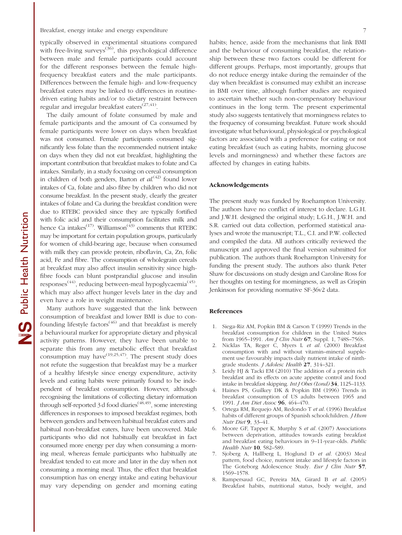typically observed in experimental situations compared with free-living surveys<sup> $(36)$ </sup>, this psychological difference between male and female participants could account for the different responses between the female highfrequency breakfast eaters and the male participants. Differences between the female high- and low-frequency breakfast eaters may be linked to differences in routinedriven eating habits and/or to dietary restraint between regular and irregular breakfast eaters<sup>(27,41)</sup>.

The daily amount of folate consumed by male and female participants and the amount of Ca consumed by female participants were lower on days when breakfast was not consumed. Female participants consumed significantly less folate than the recommended nutrient intake on days when they did not eat breakfast, highlighting the important contribution that breakfast makes to folate and Ca intakes. Similarly, in a study focusing on cereal consumption in children of both genders, Barton *et al.*<sup>(42)</sup> found lower intakes of Ca, folate and also fibre by children who did not consume breakfast. In the present study, clearly the greater intakes of folate and Ca during the breakfast condition were due to RTEBC provided since they are typically fortified with folic acid and their consumption facilitates milk and hence Ca intakes<sup>(17)</sup>. Williamson<sup> $(43)$ </sup> comments that RTEBC may be important for certain population groups, particularly for women of child-bearing age, because when consumed with milk they can provide protein, riboflavin, Ca, Zn, folic acid, Fe and fibre. The consumption of wholegrain cereals at breakfast may also affect insulin sensitivity since highfibre foods can blunt postprandial glucose and insulin responses<sup>(44)</sup>, reducing between-meal hypoglycaemia<sup>(45)</sup>, which may also affect hunger levels later in the day and even have a role in weight maintenance.

Many authors have suggested that the link between consumption of breakfast and lower BMI is due to confounding lifestyle factors<sup> $(46)$ </sup> and that breakfast is merely a behavioural marker for appropriate dietary and physical activity patterns. However, they have been unable to separate this from any metabolic effect that breakfast consumption may have  $(19,25,47)$ . The present study does not refute the suggestion that breakfast may be a marker of a healthy lifestyle since energy expenditure, activity levels and eating habits were primarily found to be independent of breakfast consumption. However, although recognising the limitations of collecting dietary information through self-reported 3 d food diaries<sup> $(48,49)$ </sup>, some interesting differences in responses to imposed breakfast regimes, both between genders and between habitual breakfast eaters and habitual non-breakfast eaters, have been uncovered. Male participants who did not habitually eat breakfast in fact consumed more energy per day when consuming a morning meal, whereas female participants who habitually ate breakfast tended to eat more and later in the day when not consuming a morning meal. Thus, the effect that breakfast consumption has on energy intake and eating behaviour may vary depending on gender and morning eating habits; hence, aside from the mechanisms that link BMI and the behaviour of consuming breakfast, the relationship between these two factors could be different for different groups. Perhaps, most importantly, groups that do not reduce energy intake during the remainder of the day when breakfast is consumed may exhibit an increase in BMI over time, although further studies are required to ascertain whether such non-compensatory behaviour continues in the long term. The present experimental study also suggests tentatively that morningness relates to the frequency of consuming breakfast. Future work should investigate what behavioural, physiological or psychological factors are associated with a preference for eating or not eating breakfast (such as eating habits, morning glucose levels and morningness) and whether these factors are affected by changes in eating habits.

## Acknowledgements

The present study was funded by Roehampton University. The authors have no conflict of interest to declare. L.G.H. and J.W.H. designed the original study; L.G.H., J.W.H. and S.R. carried out data collection, performed statistical analyses and wrote the manuscript; T.L., C.I. and P.W. collected and compiled the data. All authors critically reviewed the manuscript and approved the final version submitted for publication. The authors thank Roehampton University for funding the present study. The authors also thank Peter Shaw for discussions on study design and Caroline Ross for her thoughts on testing for morningness, as well as Crispin Jenkinson for providing normative SF-36v2 data.

#### References

- 1. Siega-Riz AM, Popkin BM & Carson T (1999) Trends in the breakfast consumption for children in the United States from 1965–1991. *Am J Clin Nutr* 67, Suppl. 1, 748S–756S.
- 2. Nicklas TA, Reger C, Myers L *et al.* (2000) Breakfast consumption with and without vitamin–mineral supplement use favourably impacts daily nutrient intake of ninthgrade students. *J Adolesc Health* 27, 314–321.
- 3. Leidy HJ & Tacki EM (2010) The addition of a protein rich breakfast and its effects on acute appetite control and food intake in breakfast skipping. *Int J Obes (Lond)* 34, 1125–1133.
- 4. Haines PS, Guilkey DK & Popkin BM (1996) Trends in breakfast consumption of US adults between 1965 and 1991. *J Am Diet Assoc* 96, 464–470.
- 5. Ortega RM, Requejo AM, Redondo T *et al.* (1996) Breakfast habits of different groups of Spanish schoolchildren. *J Hum Nutr Diet* 9, 33–41.
- 6. Moore GF, Tapper K, Murphy S *et al.* (2007) Associations between deprivation, attitudes towards eating breakfast and breakfast eating behaviours in 9–11-year-olds. *Public Health Nutr* 10, 582–589.
- 7. Sjoberg A, Hallberg L, Hoglund D *et al.* (2003) Meal pattern, food choice, nutrient intake and lifestyle factors in The Goteborg Adolescence Study. *Eur J Clin Nutr* 57, 1569–1578.
- 8. Rampersaud GC, Pereira MA, Girard B *et al.* (2005) Breakfast habits, nutritional status, body weight, and